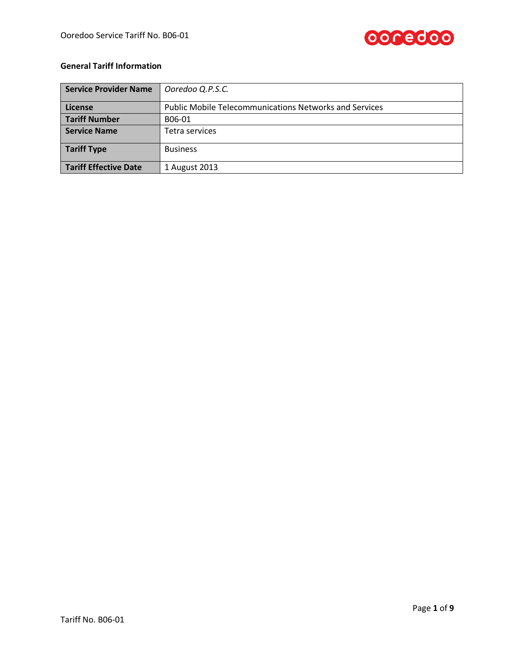

## **General Tariff Information**

| Service Provider Name        | Ooredoo Q.P.S.C.                                              |  |
|------------------------------|---------------------------------------------------------------|--|
| License                      | <b>Public Mobile Telecommunications Networks and Services</b> |  |
| <b>Tariff Number</b>         | B06-01                                                        |  |
| <b>Service Name</b>          | Tetra services                                                |  |
| <b>Tariff Type</b>           | <b>Business</b>                                               |  |
| <b>Tariff Effective Date</b> | 1 August 2013                                                 |  |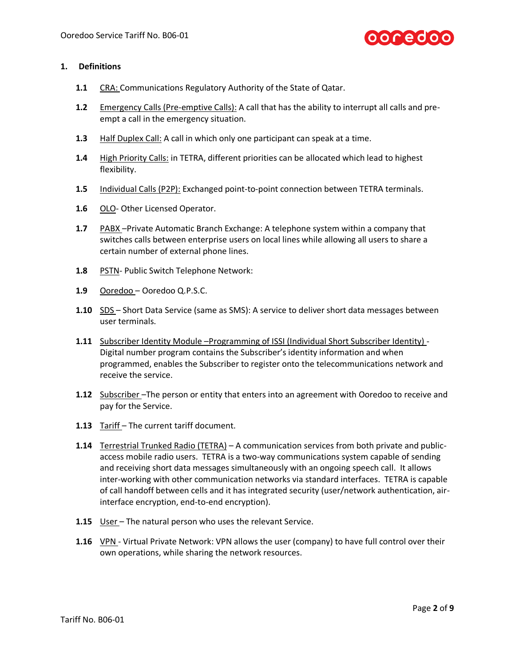

### **1. Definitions**

- 1.1 CRA: Communications Regulatory Authority of the State of Qatar.
- **1.2** Emergency Calls (Pre-emptive Calls): A call that has the ability to interrupt all calls and preempt a call in the emergency situation.
- **1.3** Half Duplex Call: A call in which only one participant can speak at a time.
- **1.4** High Priority Calls: in TETRA, different priorities can be allocated which lead to highest flexibility.
- **1.5** Individual Calls (P2P): Exchanged point-to-point connection between TETRA terminals.
- **1.6** OLO- Other Licensed Operator.
- **1.7** PABX –Private Automatic Branch Exchange: A telephone system within a company that switches calls between enterprise users on local lines while allowing all users to share a certain number of external phone lines.
- **1.8** PSTN- Public Switch Telephone Network:
- **1.9** Ooredoo Ooredoo Q.P.S.C.
- **1.10** SDS Short Data Service (same as SMS): A service to deliver short data messages between user terminals.
- **1.11** Subscriber Identity Module –Programming of ISSI (Individual Short Subscriber Identity) Digital number program contains the Subscriber's identity information and when programmed, enables the Subscriber to register onto the telecommunications network and receive the service.
- **1.12** Subscriber –The person or entity that enters into an agreement with Ooredoo to receive and pay for the Service.
- **1.13** Tariff The current tariff document.
- **1.14** Terrestrial Trunked Radio (TETRA) A communication services from both private and publicaccess mobile radio users. TETRA is a two-way communications system capable of sending and receiving short data messages simultaneously with an ongoing speech call. It allows inter-working with other communication networks via standard interfaces. TETRA is capable of call handoff between cells and it has integrated security (user/network authentication, airinterface encryption, end-to-end encryption).
- **1.15** User The natural person who uses the relevant Service.
- **1.16** VPN Virtual Private Network: VPN allows the user (company) to have full control over their own operations, while sharing the network resources.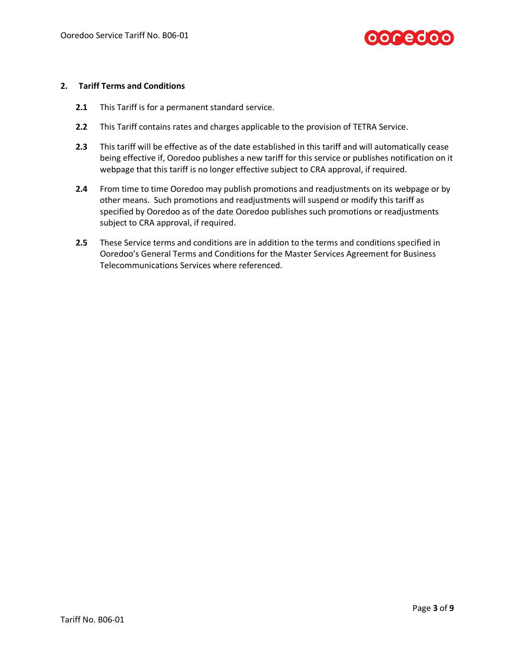

### **2. Tariff Terms and Conditions**

- **2.1** This Tariff is for a permanent standard service.
- **2.2** This Tariff contains rates and charges applicable to the provision of TETRA Service.
- **2.3** This tariff will be effective as of the date established in this tariff and will automatically cease being effective if, Ooredoo publishes a new tariff for this service or publishes notification on it webpage that this tariff is no longer effective subject to CRA approval, if required.
- **2.4** From time to time Ooredoo may publish promotions and readjustments on its webpage or by other means. Such promotions and readjustments will suspend or modify this tariff as specified by Ooredoo as of the date Ooredoo publishes such promotions or readjustments subject to CRA approval, if required.
- **2.5** These Service terms and conditions are in addition to the terms and conditions specified in Ooredoo's General Terms and Conditions for the Master Services Agreement for Business Telecommunications Services where referenced.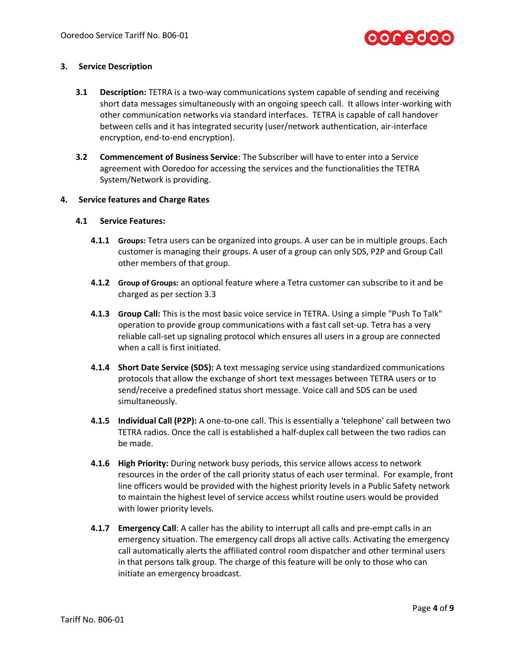

### **3. Service Description**

- **3.1 Description:** TETRA is a two-way communications system capable of sending and receiving short data messages simultaneously with an ongoing speech call. It allows inter-working with other communication networks via standard interfaces. TETRA is capable of call handover between cells and it has integrated security (user/network authentication, air-interface encryption, end-to-end encryption).
- **3.2 Commencement of Business Service**: The Subscriber will have to enter into a Service agreement with Ooredoo for accessing the services and the functionalities the TETRA System/Network is providing.

### **4. Service features and Charge Rates**

### **4.1 Service Features:**

- **4.1.1 Groups:** Tetra users can be organized into groups. A user can be in multiple groups. Each customer is managing their groups. A user of a group can only SDS, P2P and Group Call other members of that group.
- **4.1.2 Group of Groups:** an optional feature where a Tetra customer can subscribe to it and be charged as per section 3.3
- **4.1.3 Group Call:** This is the most basic voice service in TETRA. Using a simple "Push To Talk" operation to provide group communications with a fast call set-up. Tetra has a very reliable call-set up signaling protocol which ensures all users in a group are connected when a call is first initiated.
- **4.1.4 Short Date Service (SDS):** A text messaging service using standardized communications protocols that allow the exchange of short text messages between TETRA users or to send/receive a predefined status short message. Voice call and SDS can be used simultaneously.
- **4.1.5 Individual Call (P2P):** A one-to-one call. This is essentially a 'telephone' call between two TETRA radios. Once the call is established a half-duplex call between the two radios can be made.
- **4.1.6 High Priority:** During network busy periods, this service allows access to network resources in the order of the call priority status of each user terminal. For example, front line officers would be provided with the highest priority levels in a Public Safety network to maintain the highest level of service access whilst routine users would be provided with lower priority levels.
- **4.1.7 Emergency Call**: A caller has the ability to interrupt all calls and pre-empt calls in an emergency situation. The emergency call drops all active calls. Activating the emergency call automatically alerts the affiliated control room dispatcher and other terminal users in that persons talk group. The charge of this feature will be only to those who can initiate an emergency broadcast.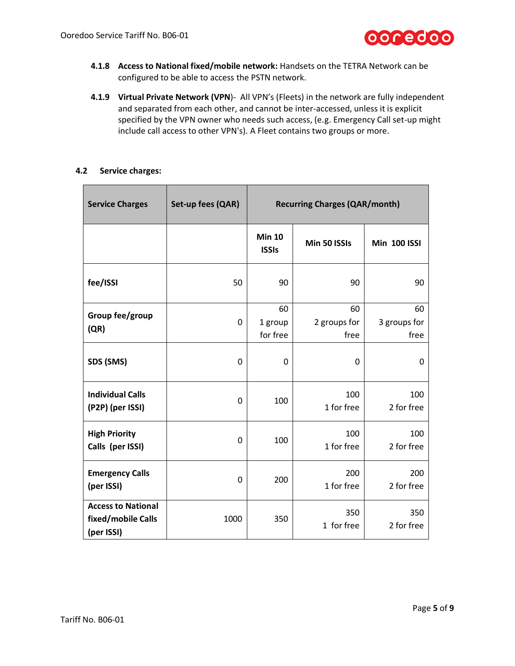

- **4.1.8 Access to National fixed/mobile network:** Handsets on the TETRA Network can be configured to be able to access the PSTN network.
- **4.1.9 Virtual Private Network (VPN**)- All VPN's (Fleets) in the network are fully independent and separated from each other, and cannot be inter-accessed, unless it is explicit specified by the VPN owner who needs such access, (e.g. Emergency Call set-up might include call access to other VPN's). A Fleet contains two groups or more.

### **4.2 Service charges:**

| <b>Service Charges</b>                                        | Set-up fees (QAR) | <b>Recurring Charges (QAR/month)</b> |                            |                            |
|---------------------------------------------------------------|-------------------|--------------------------------------|----------------------------|----------------------------|
|                                                               |                   | <b>Min 10</b><br><b>ISSIs</b>        | Min 50 ISSIs               | <b>Min 100 ISSI</b>        |
| fee/ISSI                                                      | 50                | 90                                   | 90                         | 90                         |
| Group fee/group<br>(QR)                                       | 0                 | 60<br>1 group<br>for free            | 60<br>2 groups for<br>free | 60<br>3 groups for<br>free |
| SDS (SMS)                                                     | 0                 | 0                                    | $\mathbf{0}$               | 0                          |
| <b>Individual Calls</b><br>(P2P) (per ISSI)                   | 0                 | 100                                  | 100<br>1 for free          | 100<br>2 for free          |
| <b>High Priority</b><br>Calls (per ISSI)                      | 0                 | 100                                  | 100<br>1 for free          | 100<br>2 for free          |
| <b>Emergency Calls</b><br>(per ISSI)                          | $\mathbf{0}$      | 200                                  | 200<br>1 for free          | 200<br>2 for free          |
| <b>Access to National</b><br>fixed/mobile Calls<br>(per ISSI) | 1000              | 350                                  | 350<br>1 for free          | 350<br>2 for free          |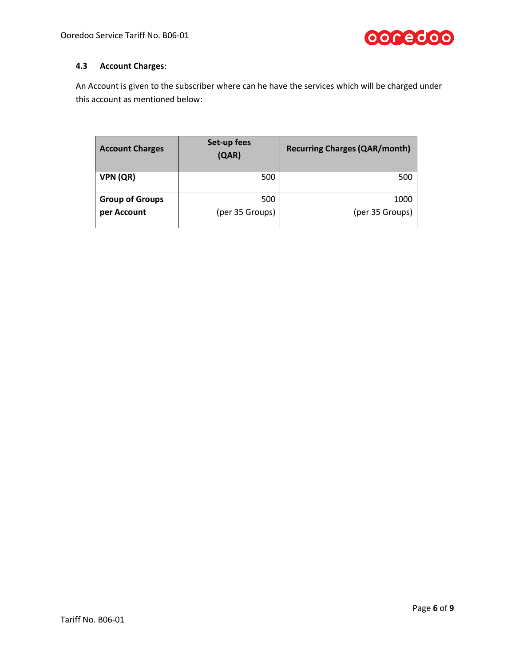

# **4.3 Account Charges**:

An Account is given to the subscriber where can he have the services which will be charged under this account as mentioned below:

| <b>Account Charges</b> | Set-up fees<br>(QAR) | <b>Recurring Charges (QAR/month)</b> |
|------------------------|----------------------|--------------------------------------|
| VPN (QR)               | 500                  | 500                                  |
| <b>Group of Groups</b> | 500                  | 1000                                 |
| per Account            | (per 35 Groups)      | (per 35 Groups)                      |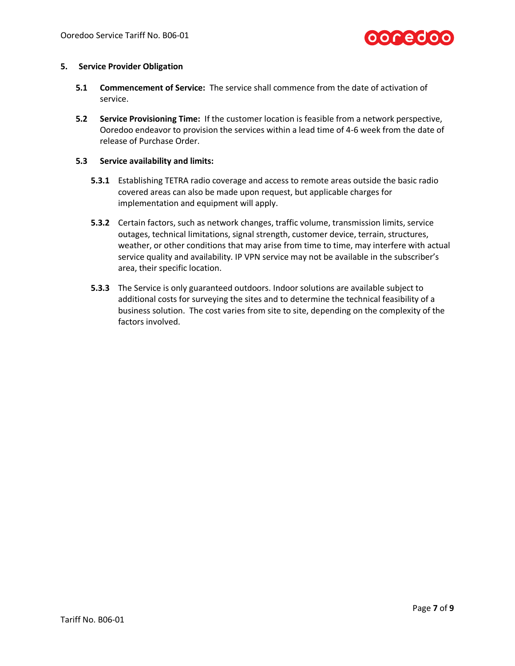

### **5. Service Provider Obligation**

- **5.1 Commencement of Service:** The service shall commence from the date of activation of service.
- **5.2 Service Provisioning Time:** If the customer location is feasible from a network perspective, Ooredoo endeavor to provision the services within a lead time of 4-6 week from the date of release of Purchase Order.

### **5.3 Service availability and limits:**

- **5.3.1** Establishing TETRA radio coverage and access to remote areas outside the basic radio covered areas can also be made upon request, but applicable charges for implementation and equipment will apply.
- **5.3.2** Certain factors, such as network changes, traffic volume, transmission limits, service outages, technical limitations, signal strength, customer device, terrain, structures, weather, or other conditions that may arise from time to time, may interfere with actual service quality and availability. IP VPN service may not be available in the subscriber's area, their specific location.
- **5.3.3** The Service is only guaranteed outdoors. Indoor solutions are available subject to additional costs for surveying the sites and to determine the technical feasibility of a business solution. The cost varies from site to site, depending on the complexity of the factors involved.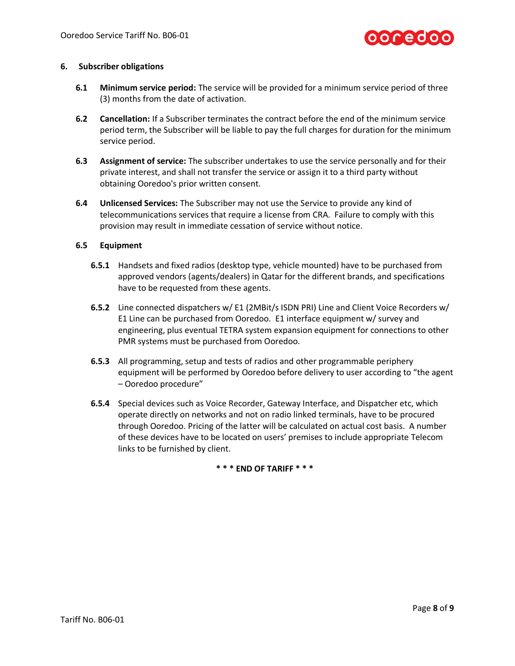

### **6. Subscriber obligations**

- **6.1 Minimum service period:** The service will be provided for a minimum service period of three (3) months from the date of activation.
- **6.2 Cancellation:** If a Subscriber terminates the contract before the end of the minimum service period term, the Subscriber will be liable to pay the full charges for duration for the minimum service period.
- **6.3 Assignment of service:** The subscriber undertakes to use the service personally and for their private interest, and shall not transfer the service or assign it to a third party without obtaining Ooredoo's prior written consent.
- **6.4 Unlicensed Services:** The Subscriber may not use the Service to provide any kind of telecommunications services that require a license from CRA. Failure to comply with this provision may result in immediate cessation of service without notice.

### **6.5 Equipment**

- **6.5.1** Handsets and fixed radios (desktop type, vehicle mounted) have to be purchased from approved vendors (agents/dealers) in Qatar for the different brands, and specifications have to be requested from these agents.
- **6.5.2** Line connected dispatchers w/ E1 (2MBit/s ISDN PRI) Line and Client Voice Recorders w/ E1 Line can be purchased from Ooredoo. E1 interface equipment w/ survey and engineering, plus eventual TETRA system expansion equipment for connections to other PMR systems must be purchased from Ooredoo.
- **6.5.3** All programming, setup and tests of radios and other programmable periphery equipment will be performed by Ooredoo before delivery to user according to "the agent – Ooredoo procedure"
- **6.5.4** Special devices such as Voice Recorder, Gateway Interface, and Dispatcher etc, which operate directly on networks and not on radio linked terminals, have to be procured through Ooredoo. Pricing of the latter will be calculated on actual cost basis. A number of these devices have to be located on users' premises to include appropriate Telecom links to be furnished by client.

**\* \* \* END OF TARIFF \* \* \***